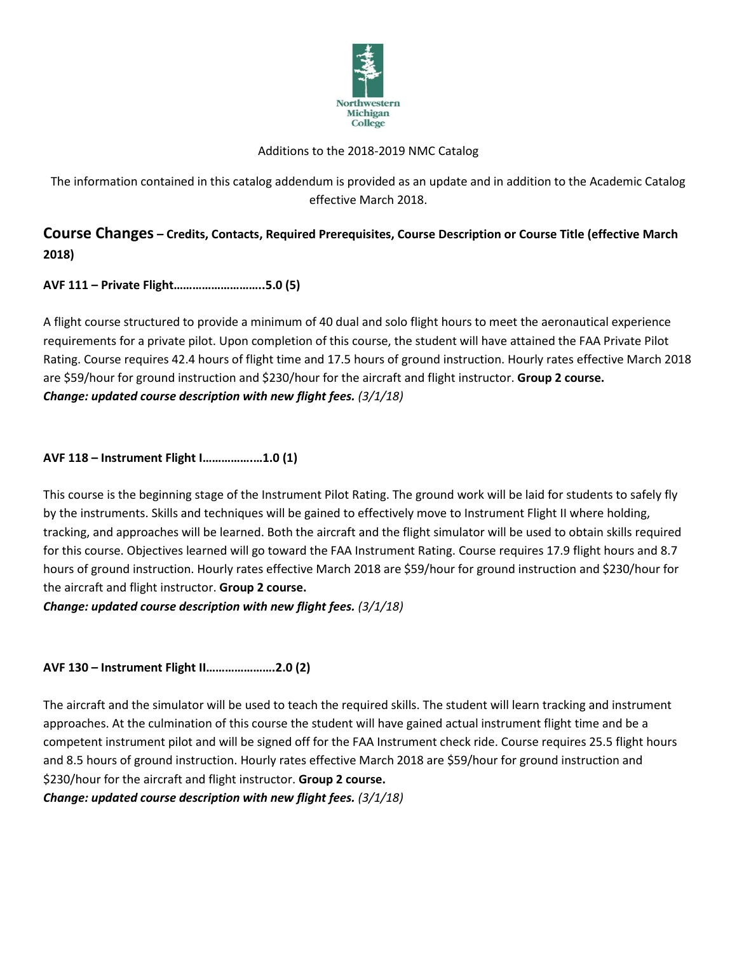

### Additions to the 2018-2019 NMC Catalog

The information contained in this catalog addendum is provided as an update and in addition to the Academic Catalog effective March 2018.

# **Course Changes – Credits, Contacts, Required Prerequisites, Course Description or Course Title (effective March 2018)**

# **AVF 111 – Private Flight………………………..5.0 (5)**

A flight course structured to provide a minimum of 40 dual and solo flight hours to meet the aeronautical experience requirements for a private pilot. Upon completion of this course, the student will have attained the FAA Private Pilot Rating. Course requires 42.4 hours of flight time and 17.5 hours of ground instruction. Hourly rates effective March 2018 are \$59/hour for ground instruction and \$230/hour for the aircraft and flight instructor. **Group 2 course.** *Change: updated course description with new flight fees. (3/1/18)*

**AVF 118 – Instrument Flight I…………….…1.0 (1)**

This course is the beginning stage of the Instrument Pilot Rating. The ground work will be laid for students to safely fly by the instruments. Skills and techniques will be gained to effectively move to Instrument Flight II where holding, tracking, and approaches will be learned. Both the aircraft and the flight simulator will be used to obtain skills required for this course. Objectives learned will go toward the FAA Instrument Rating. Course requires 17.9 flight hours and 8.7 hours of ground instruction. Hourly rates effective March 2018 are \$59/hour for ground instruction and \$230/hour for the aircraft and flight instructor. **Group 2 course.**

*Change: updated course description with new flight fees. (3/1/18)*

**AVF 130 – Instrument Flight II………………….2.0 (2)**

The aircraft and the simulator will be used to teach the required skills. The student will learn tracking and instrument approaches. At the culmination of this course the student will have gained actual instrument flight time and be a competent instrument pilot and will be signed off for the FAA Instrument check ride. Course requires 25.5 flight hours and 8.5 hours of ground instruction. Hourly rates effective March 2018 are \$59/hour for ground instruction and \$230/hour for the aircraft and flight instructor. **Group 2 course.**

*Change: updated course description with new flight fees. (3/1/18)*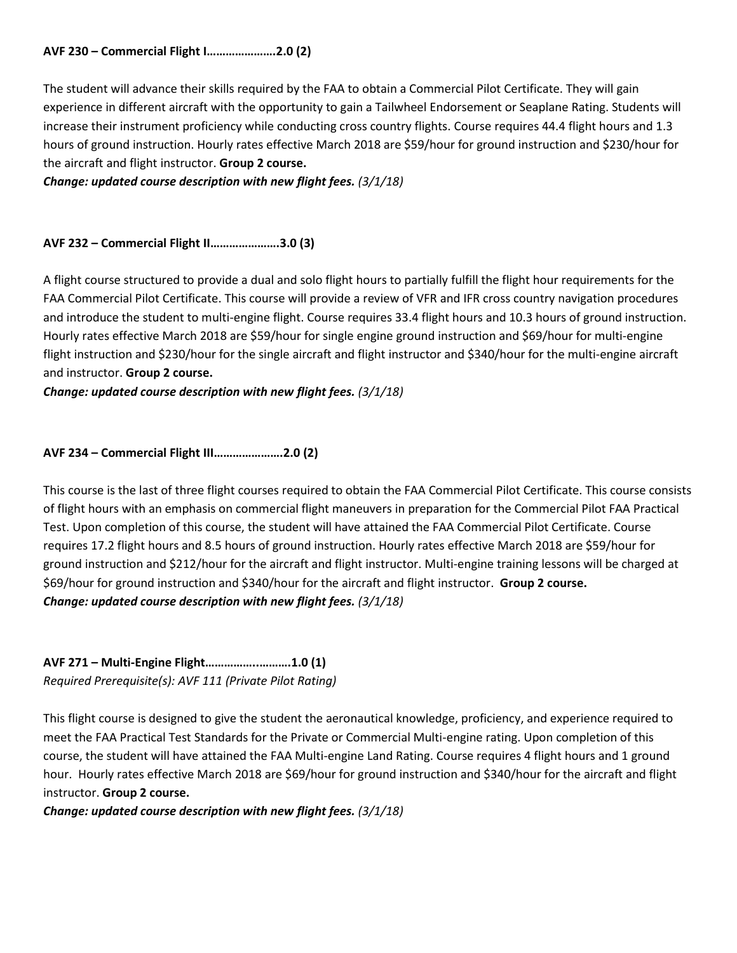The student will advance their skills required by the FAA to obtain a Commercial Pilot Certificate. They will gain experience in different aircraft with the opportunity to gain a Tailwheel Endorsement or Seaplane Rating. Students will increase their instrument proficiency while conducting cross country flights. Course requires 44.4 flight hours and 1.3 hours of ground instruction. Hourly rates effective March 2018 are \$59/hour for ground instruction and \$230/hour for the aircraft and flight instructor. **Group 2 course.**

*Change: updated course description with new flight fees. (3/1/18)*

### **AVF 232 – Commercial Flight II………………….3.0 (3)**

A flight course structured to provide a dual and solo flight hours to partially fulfill the flight hour requirements for the FAA Commercial Pilot Certificate. This course will provide a review of VFR and IFR cross country navigation procedures and introduce the student to multi-engine flight. Course requires 33.4 flight hours and 10.3 hours of ground instruction. Hourly rates effective March 2018 are \$59/hour for single engine ground instruction and \$69/hour for multi-engine flight instruction and \$230/hour for the single aircraft and flight instructor and \$340/hour for the multi-engine aircraft and instructor. **Group 2 course.**

*Change: updated course description with new flight fees. (3/1/18)*

# **AVF 234 – Commercial Flight III………………….2.0 (2)**

This course is the last of three flight courses required to obtain the FAA Commercial Pilot Certificate. This course consists of flight hours with an emphasis on commercial flight maneuvers in preparation for the Commercial Pilot FAA Practical Test. Upon completion of this course, the student will have attained the FAA Commercial Pilot Certificate. Course requires 17.2 flight hours and 8.5 hours of ground instruction. Hourly rates effective March 2018 are \$59/hour for ground instruction and \$212/hour for the aircraft and flight instructor. Multi-engine training lessons will be charged at \$69/hour for ground instruction and \$340/hour for the aircraft and flight instructor. **Group 2 course.** *Change: updated course description with new flight fees. (3/1/18)*

**AVF 271 – Multi-Engine Flight……………..……….1.0 (1)** *Required Prerequisite(s): AVF 111 (Private Pilot Rating)*

This flight course is designed to give the student the aeronautical knowledge, proficiency, and experience required to meet the FAA Practical Test Standards for the Private or Commercial Multi-engine rating. Upon completion of this course, the student will have attained the FAA Multi-engine Land Rating. Course requires 4 flight hours and 1 ground hour. Hourly rates effective March 2018 are \$69/hour for ground instruction and \$340/hour for the aircraft and flight instructor. **Group 2 course.**

*Change: updated course description with new flight fees. (3/1/18)*